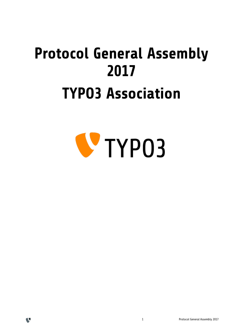# **Protocol General Assembly 2017 TYPO3 Association**





 $\mathbf{C}$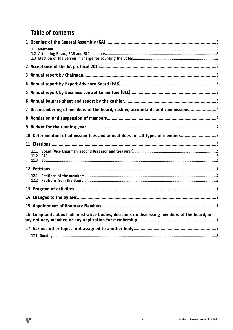# Table of contents

 $\mathbf{C}$ 

| Disencumbering of members of the board, cashier, accountants and commissions4<br>7          |  |
|---------------------------------------------------------------------------------------------|--|
| 8                                                                                           |  |
| 9                                                                                           |  |
| Determination of admission fees and annual dues for all types of members5<br>10             |  |
|                                                                                             |  |
|                                                                                             |  |
|                                                                                             |  |
|                                                                                             |  |
|                                                                                             |  |
|                                                                                             |  |
|                                                                                             |  |
|                                                                                             |  |
|                                                                                             |  |
| 16 Complaints about administrative bodies, decisions on dismissing members of the board, or |  |
|                                                                                             |  |
|                                                                                             |  |
|                                                                                             |  |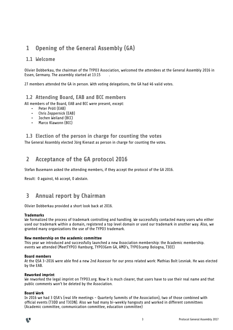# **1 Opening of the General Assembly (GA)**

#### **1.1 Welcome**

Olivier Dobberkau, the chairman of the TYPO3 Association, welcomed the attendees at the General Assembly 2016 in Essen, Germany. The assembly started at 13:15

27 members attended the GA in person. With voting delegations, the GA had 46 valid votes.

#### **1.2 Attending Board, EAB and BCC members**

All members of the Board, EAB and BCC were present, except:

- Peter Pröll (EAB)
- Chris Zeppernick (EAB)
- Jochen Weiland (BCC)
- Marco Klawonn (BCC)

#### **1.3 Election of the person in charge for counting the votes**

The General Assembly elected Jörg Kienast as person in charge for counting the votes.

## **2 Acceptance of the GA protocol 2016**

Stefan Busemann asked the attending members, if they accept the protocol of the GA 2016.

Result: 0 against, 46 accept, 0 abstain.

## **3 Annual report by Chairman**

Olivier Dobberkau provided a short look back at 2016.

#### **Trademarks**

We formalized the process of trademark controlling and handling. We successfully contacted many users who either used our trademark within a domain, registered a top level domain or used our trademark in another way. Also, we granted many organizations the use of the TYPO3 trademark.

#### **New membership on the academic committee**

This year we introduced and successfully launched a new Association membership: the Academic membership. events we attended (MeetTYPO3 Hamburg, TYPO3Gem GA, AMD's, TYPO3camp Bologna, T3EE)

#### **Board members**

At the QSA 3-2016 were able find a new 2nd Assessor for our press related work: Mathias Bolt Lesniak. He was elected by the EAB.

#### **Reworked imprint**

We reworked the legal imprint on TYPO3.org. Now it is much clearer, that users have to use their real name and that public comments won't be deleted by the Association.

#### **Board Work**

In 2016 we had 3 QSA's (real life meetings - Quarterly Summits of the Association), two of those combined with official events (T3DD and T3CON). Also we had many bi-weekly hangouts and worked in different committees (Academic committee, communication committee, education committee)

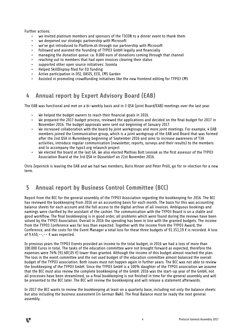Further actions:

- we invited platinum members and sponsors of the T3CON to a dinner event to thank them
- we deepened our strategic partnership with Microsoft
- we've got introduced to Platform.sh through our partnership with Microsoft
- followed and assisted the founding of TYPO3 GmbH legally and financially
- managing the donation queue: ca. 8.000 euro of donations coming through that channel
- reaching out to members that had open invoices clearing their status
- supported other open source initiatives: Joomla
- Helped SkillDisplay filed for EU funding
- Active participation in OSI, OASIS, ECO, CMS Garden
- Assisted in promoting crowdfunding initiatives like the new frontend editing for TYPO3 CMS

# **4 Annual report by Expert Advisory Board (EAB)**

The EAB was functional and met on a bi-weekly basis and in 3 QSA (joint Board/EAB) meetings over the last year.

- We helped the budget owners to reach their financial goals in 2016.
- We prepared the 2017 budget process, reviewed the applications and decided on the final budget for 2017 in November 2016. The budget approvals were sent out beginning of January 2017
- We increased collaboration with the board by joint workgroups and more joint meetings. For example, 4 EAB members joined the Communication group, which is a joint workgroup of the EAB and Board that was formed after the 2nd QSA in Nuremberg beginning of September 2016 and aims to increase awareness of T3A activities, introduce regular communication (newsletter, reports, surveys and their results) to the members and to accompany the typo3.org relaunch project
- We elected the board at the last GA. We also elected Mathias Bolt Lesniak as the first assessor of the TYPO3 Association Board at the 3rd QSA in Düsseldorf on 21st November 2016.

Chris Zepernick is leaving the EAB and we had two members, Boris Hinzer and Peter Pröll, go for re-election for a new term.

# **5 Annual report by Business Control Committee (BCC)**

Report from the BCC for the general assembly of the TYPO3 Association regarding the bookkeeping for 2016. The BCC has reviewed the bookkeeping from 2016 on an accounting basis for each month. The basis for this was accounting balance sheets for each account and the full access to the digital archive of all invoices. Ambiguous bookings and namings were clarified by the assistant of the cashier. The communication with the TYPO3 Board is on a stable and good workflow. The final bookkeeping is in good order, all problems which were found during the reviews have been solved by the TYPO3 Association. Overall in 2016 the spending has been in line with the granted budgets. The income from the TYPO3 Conference was far less than expected. Together with the income from the TYPO3 Award, the Conference, and the costs for the Event Manager a total loss for these three budgets of 91.351,19 € is recorded. A loss of  $9.450,-,-, \epsilon$  was expected.

In previous years the TYPO3 Events provided an income to the total budget, in 2016 we had a loss of more than 100.000 Euros in total. The tasks of the education committee were not brought forward as expected, therefore the expenses were 76% (91.687,05 €) lower than granted. Although the income of this budget almost reached the plan. The loss in the event committee and the not used budget of the education committee almost balanced the overall budget of the TYPO3 association. Both issues must not happen again in further years. The BCC was not able to review the bookkeeping of the TYPO3 GmbH. Since the TYPO3 GmbH is a 100% daughter of the TYPO3 association we assume that the BCC must also review the complete bookkeeping of the GmbH. 2016 was the start-up year of the GmbH, not all processes have been streamlined, so a final bookkeeping is not finished in time for the general assembly and will be presented to the BCC later. The BCC will review the bookkeeping and will release a statement afterwards.

In 2017 the BCC wants to review the bookkeeping at least on a quarterly base, including not only the balance sheets but also including the business assessment (in German BWA). The final Balance must be ready the next general assembly.

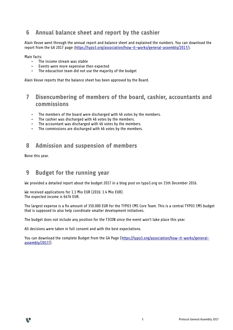# **6 Annual balance sheet and report by the cashier**

Alain Veuve went through the annual report and balance sheet and explained the numbers. You can download the report from the GA 2017 page (https://typo3.org/association/how-it-works/general-assembly/2017/).

Main facts:

- The income stream was stable
- Events were more expensive then expected<br>• The educaction team did not use the majoring
- The educaction team did not use the majority of the budget

Alain Veuve reports that the balance sheet has been approved by the Board.

## **7 Disencumbering of members of the board, cashier, accountants and commissions**

- The members of the board were discharged with 46 votes by the members.
- The cashier was discharged with 46 votes by the members.
- The accountant was discharged with 46 votes by the members.
- The commissions are discharged with 46 votes by the members.

## **8 Admission and suspension of members**

None this year.

## **9 Budget for the running year**

We provided a detailed report about the budget 2017 in a blog post on typo3.org on 15th December 2016.

We received applications for 1.1 Mio EUR (2016: 1.4 Mio EUR). The expected income is 647k EUR.

The largest expense is a fix amount of 350.000 EUR for the TYPO3 CMS Core Team. This is a central TYPO3 CMS budget that is supposed to also help coordinate smaller development initiatives.

The budget does not include any position for the T3CON since the event won't take place this year.

All decisions were taken in full consent and with the best expectations.

You can download the complete Budget from the GA Page [\(https://typo3.org/association/how-it-works/general](https://typo3.org/association/how-it-works/general-assembly/2017/)[assembly/2017/\)](https://typo3.org/association/how-it-works/general-assembly/2017/).

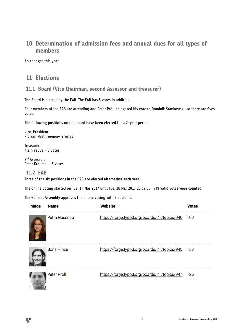# **10 Determination of admission fees and annual dues for all types of members**

No changes this year.

# **11 Elections**

#### **11.1 Board (Vice Chairman, second Assessor and treasurer)**

The Board is elected by the EAB. The EAB has 5 votes in addition.

Four members of the EAB are attending and Peter Pröll delegated his vote to Dominik Stankowski, so there are fives votes.

The following positions on the board have been elected for a 2-year period:

Vice-President: Ric van Westhreenen– 5 votes

**Treasurer** Alain Veuve – 5 votes

2<sup>nd</sup> Assessor: Peter Kraume – 5 votes.

#### **11.2 EAB**

11

Three of the six positions in the EAB are elected alternating each year.

The online voting started on Tue, 14 Mar 2017 until Tue, 28 Mar 2017 23:59:00 . 439 valid votes were counted.

The General Assembly approves the online voting with 2 abstains.

| <b>Image</b> | <b>Name</b>         | Website                                      | <b>Votes</b> |
|--------------|---------------------|----------------------------------------------|--------------|
|              | Petra Hasenau       | https://forge.typo3.org/boards/71/topics/946 | 160          |
|              | <b>Boris Hinzer</b> | https://forge.typo3.org/boards/71/topics/945 | 153          |
|              | Peter Pröll         | https://forge.typo3.org/boards/71/topics/947 | 126          |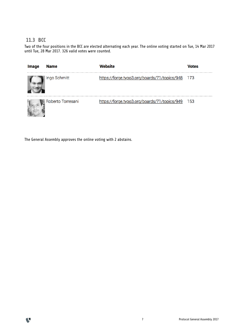#### **11.3 BCC**

Two of the four positions in the BCC are elected alternating each year. The online voting started on Tue, 14 Mar 2017 until Tue, 28 Mar 2017. 326 valid votes were counted.

| <b>Image</b> | <b>Name</b>       | Website                                      | <b>Votes</b> |
|--------------|-------------------|----------------------------------------------|--------------|
|              | ∥Ingo Schmitt     | https://forge.typo3.org/boards/71/topics/948 | -173         |
|              | Roberto Torresani | https://forge.typo3.org/boards/71/topics/949 | 153          |

The General Assembly approves the online voting with 2 abstains.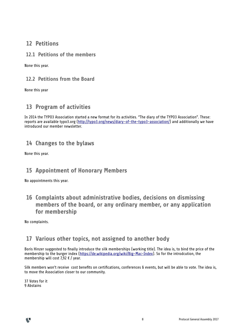#### **12 Petitions**

#### **12.1 Petitions of the members**

None this year.

#### **12.2 Petitions from the Board**

None this year

# **13 Program of activities**

In 2014 the TYPO3 Association started a new format for its activities. "The diary of the TYPO3 Association". These: reports are available typo3.org [\(http://typo3.org/news/diary-of-the-typo3-association/\)](http://typo3.org/news/diary-of-the-typo3-association/) and additionally we have introduced our member newsletter.

## **14 Changes to the bylaws**

None this year.

# **15 Appointment of Honorary Members**

No appointments this year.

 **16 Complaints about administrative bodies, decisions on dismissing members of the board, or any ordinary member, or any application for membership**

No complaints.

# **17 Various other topics, not assigned to another body**

Boris Hinzer suggested to finally introduce the silk memberships (working title). The idea is, to bind the price of the membership to the burger index [\(https://de.wikipedia.org/wiki/Big-Mac-Index\)](https://de.wikipedia.org/wiki/Big-Mac-Index). So for the introdcution, the membership will cost 7,92  $\epsilon$  / year.

Silk members won't receive cost benefits on certifications, conferences & events, but will be able to vote. The idea is, to move the Association closer to our community.

37 Votes for it 9 Abstains